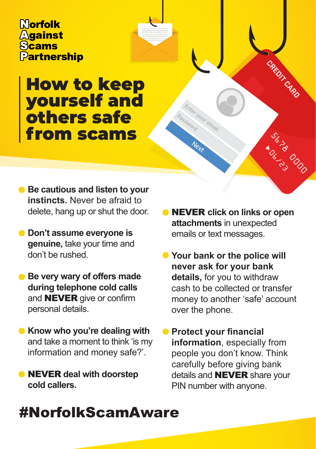Morfolk **Against Scams Partnership** 

## How to keep yourself and others safe from scams

- **Be cautious and listen to your instincts.** Never be afraid to delete, hang up or shut the door.
- **Don't assume everyone is genuine,** take your time and don't be rushed.
- **Be very wary of offers made during telephone cold calls**  and NEVER give or confirm personal details.
- **Know who you're dealing with** and take a moment to think 'is my information and money safe?'.
- NEVER **deal with doorstep cold callers.**

NEVER **click on links or open attachments** in unexpected emails or text messages.

er your email

CREDIT CARD

Surray Door

- **Your bank or the police will never ask for your bank details,** for you to withdraw cash to be collected or transfer money to another 'safe' account over the phone.
- **Protect your financial information**, especially from people you don't know. Think carefully before giving bank details and **NEVER** share your PIN number with anyone.

## #NorfolkScamAware